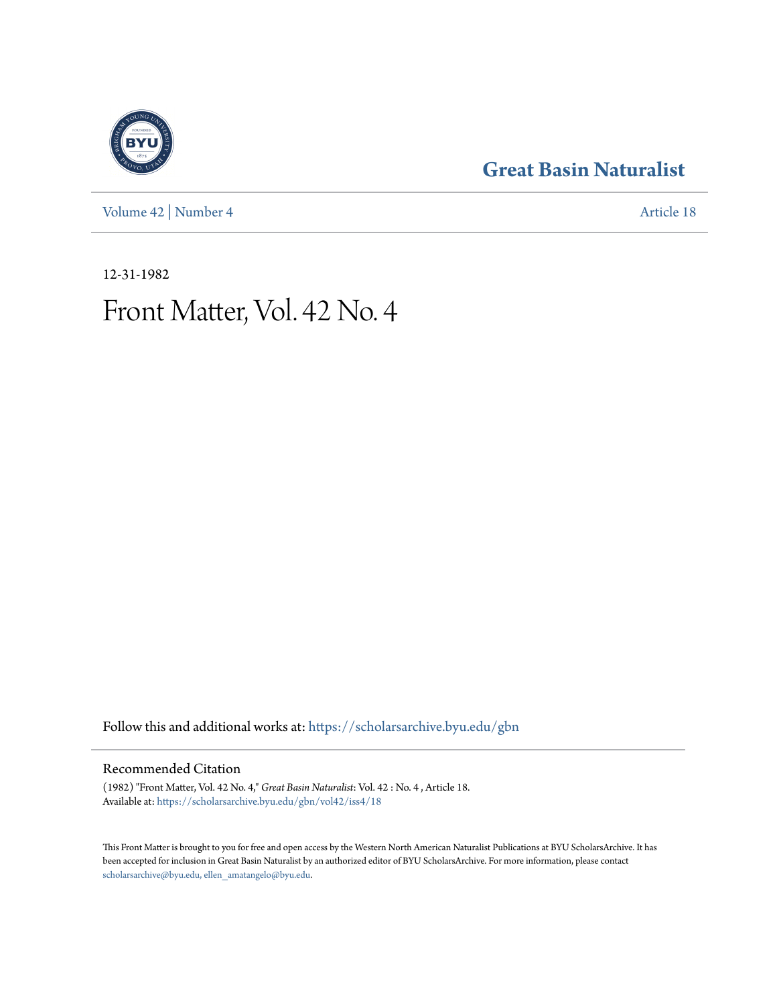[Volume 42](https://scholarsarchive.byu.edu/gbn/vol42?utm_source=scholarsarchive.byu.edu%2Fgbn%2Fvol42%2Fiss4%2F18&utm_medium=PDF&utm_campaign=PDFCoverPages) | [Number 4](https://scholarsarchive.byu.edu/gbn/vol42/iss4?utm_source=scholarsarchive.byu.edu%2Fgbn%2Fvol42%2Fiss4%2F18&utm_medium=PDF&utm_campaign=PDFCoverPages) [Article 18](https://scholarsarchive.byu.edu/gbn/vol42/iss4/18?utm_source=scholarsarchive.byu.edu%2Fgbn%2Fvol42%2Fiss4%2F18&utm_medium=PDF&utm_campaign=PDFCoverPages)

### **[Great Basin Naturalist](https://scholarsarchive.byu.edu/gbn?utm_source=scholarsarchive.byu.edu%2Fgbn%2Fvol42%2Fiss4%2F18&utm_medium=PDF&utm_campaign=PDFCoverPages)**

12-31-1982

## Front Matter, Vol. 42 No. 4

Follow this and additional works at: [https://scholarsarchive.byu.edu/gbn](https://scholarsarchive.byu.edu/gbn?utm_source=scholarsarchive.byu.edu%2Fgbn%2Fvol42%2Fiss4%2F18&utm_medium=PDF&utm_campaign=PDFCoverPages)

### Recommended Citation

(1982) "Front Matter, Vol. 42 No. 4," *Great Basin Naturalist*: Vol. 42 : No. 4 , Article 18. Available at: [https://scholarsarchive.byu.edu/gbn/vol42/iss4/18](https://scholarsarchive.byu.edu/gbn/vol42/iss4/18?utm_source=scholarsarchive.byu.edu%2Fgbn%2Fvol42%2Fiss4%2F18&utm_medium=PDF&utm_campaign=PDFCoverPages)

This Front Matter is brought to you for free and open access by the Western North American Naturalist Publications at BYU ScholarsArchive. It has been accepted for inclusion in Great Basin Naturalist by an authorized editor of BYU ScholarsArchive. For more information, please contact [scholarsarchive@byu.edu, ellen\\_amatangelo@byu.edu.](mailto:scholarsarchive@byu.edu,%20ellen_amatangelo@byu.edu)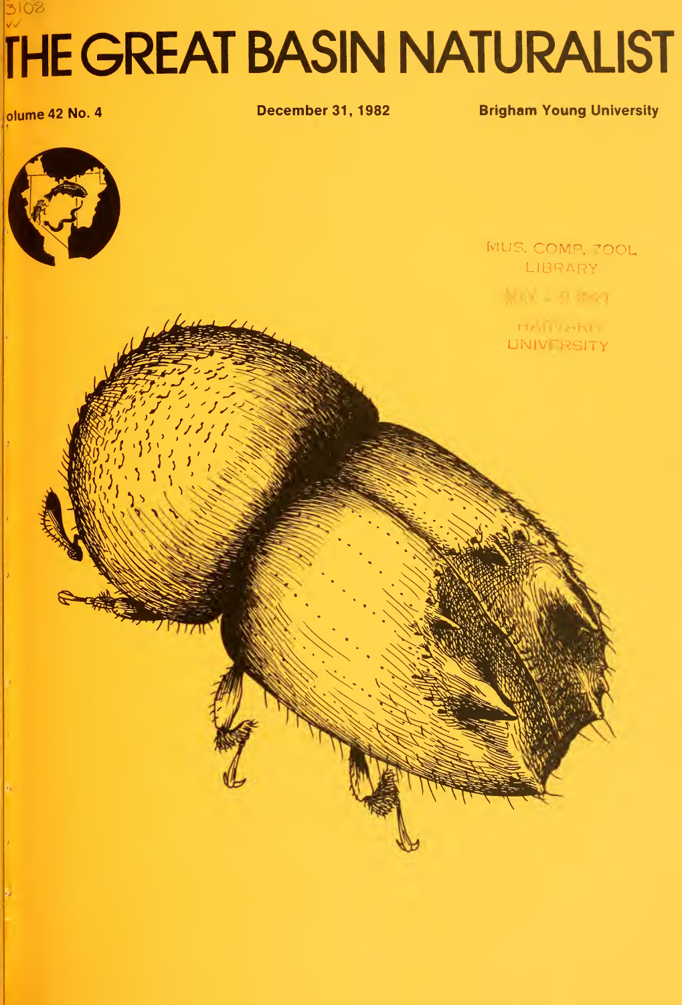# 3108 **THE GREAT BASIN NATURALIST**

olume 42 No. 4

**December 31, 1982** 

**Brigham Young University**